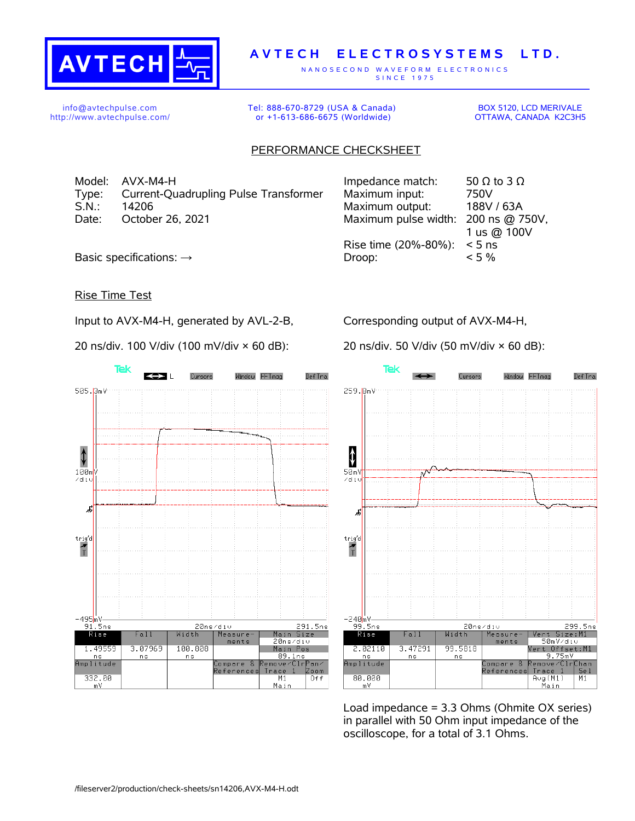

## **A V T E C H E L E C T R O S Y S T E M S L T D .**

N A N O S E C O N D W A V E F O R M E L E C T R O N I C S S IN C E 1975

info@avtechpulse.com http://www.avtechpulse.com/ Tel: 888-670-8729 (USA & Canada) or +1-613-686-6675 (Worldwide)

BOX 5120, LCD MERIVALE OTTAWA, CANADA K2C3H5

## PERFORMANCE CHECKSHEET

Model: AVX-M4-H Type: Current-Quadrupling Pulse Transformer S.N.: 14206 Maximum output: 188V / 63A Date: October 26, 2021

| Impedance match:                    | 50 $\Omega$ to 3 $\Omega$ |
|-------------------------------------|---------------------------|
| Maximum input:                      | 750V                      |
| Maximum output:                     | 188V / 63A                |
| Maximum pulse width: 200 ns @ 750V, |                           |
|                                     | 1 us @ 100V               |
| Rise time (20%-80%):                | $< 5$ ns                  |
| Droop:                              | $< 5\%$                   |
|                                     |                           |

Basic specifications:  $\rightarrow$ 

## Rise Time Test

Input to AVX-M4-H, generated by AVL-2-B,

20 ns/div. 100 V/div (100 mV/div × 60 dB):

Corresponding output of AVX-M4-H,

20 ns/div. 50 V/div (50 mV/div × 60 dB):



**Tek** Window FFTmag Def Tra Curence 259.8mV  $\ddagger$  $50m$  $\angle$ di Æ  $\begin{array}{c}\n\text{trig'd} \\
\hline\n\text{T}\n\end{array}$  $-240$ <sub>m</sub>V-<u>. 19</u><br>99.5ns 299.5ns 20ns/div Rise Vert Size:M1<br>50mV⁄di∪  $Fall$ Width Measurements Vert Offset:M1 2.02110 3.47291 99.5818 9.75mV<br>emove/ClrChan  $n s$ n s amplitude Compare Reference: Trace I Se l 80.000 Aug(M1)<br>Main  $M1$ m V

Load impedance = 3.3 Ohms (Ohmite OX series) in parallel with 50 Ohm input impedance of the oscilloscope, for a total of 3.1 Ohms.